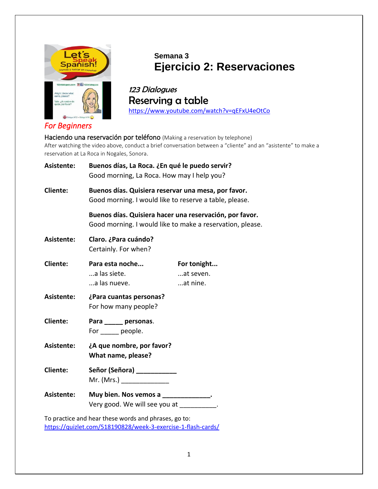

## **Semana 3 Ejercicio 2: Reservaciones**

123 Dialogues Reserving a table <https://www.youtube.com/watch?v=qEFxU4eOtCo>

*For Beginners* 

Haciendo una reservación por teléfono (Making a reservation by telephone) After watching the video above, conduct a brief conversation between a "cliente" and an "asistente" to make a reservation at La Roca in Nogales, Sonora.

| Asistente:      | Buenos días, La Roca. ¿En qué le puedo servir?<br>Good morning, La Roca. How may I help you?                         |                                      |
|-----------------|----------------------------------------------------------------------------------------------------------------------|--------------------------------------|
| <b>Cliente:</b> | Buenos días. Quisiera reservar una mesa, por favor.<br>Good morning. I would like to reserve a table, please.        |                                      |
|                 | Buenos días. Quisiera hacer una reservación, por favor.<br>Good morning. I would like to make a reservation, please. |                                      |
| Asistente:      | Claro. ¿Para cuándo?<br>Certainly. For when?                                                                         |                                      |
| <b>Cliente:</b> | Para esta noche<br>a las siete.<br>a las nueve.                                                                      | For tonight<br>at seven.<br>at nine. |
| Asistente:      | ¿Para cuantas personas?<br>For how many people?                                                                      |                                      |
| <b>Cliente:</b> | Para ______ personas.<br>For people.                                                                                 |                                      |
| Asistente:      | ¿A que nombre, por favor?<br>What name, please?                                                                      |                                      |
| <b>Cliente:</b> | Señor (Señora) ____________<br>Mr. (Mrs.) _______________                                                            |                                      |
| Asistente:      | Muy bien. Nos vemos a _____________.<br>Very good. We will see you at ___________.                                   |                                      |
|                 | the contract of the contract of the contract of the contract of the contract of the contract of the contract of      |                                      |

To practice and hear these words and phrases, go to: <https://quizlet.com/518190828/week-3-exercise-1-flash-cards/>